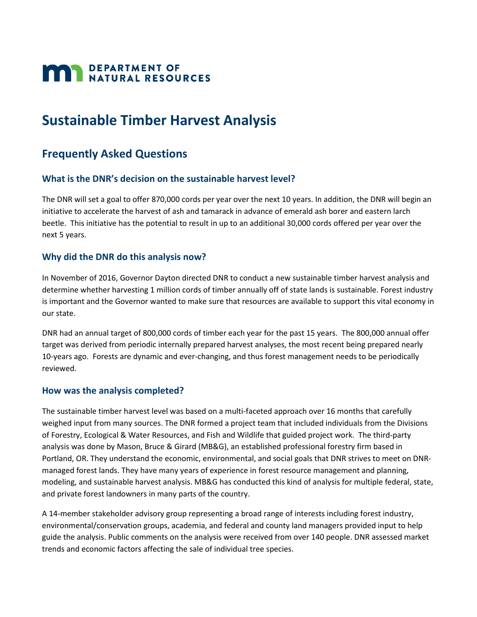# **MAN DEPARTMENT OF NATURAL RESOURCES**

# **Sustainable Timber Harvest Analysis**

## **Frequently Asked Questions**

#### **What is the DNR's decision on the sustainable harvest level?**

The DNR will set a goal to offer 870,000 cords per year over the next 10 years. In addition, the DNR will begin an initiative to accelerate the harvest of ash and tamarack in advance of emerald ash borer and eastern larch beetle. This initiative has the potential to result in up to an additional 30,000 cords offered per year over the next 5 years.

#### **Why did the DNR do this analysis now?**

In November of 2016, Governor Dayton directed DNR to conduct a new sustainable timber harvest analysis and determine whether harvesting 1 million cords of timber annually off of state lands is sustainable. Forest industry is important and the Governor wanted to make sure that resources are available to support this vital economy in our state.

DNR had an annual target of 800,000 cords of timber each year for the past 15 years. The 800,000 annual offer target was derived from periodic internally prepared harvest analyses, the most recent being prepared nearly 10-years ago. Forests are dynamic and ever-changing, and thus forest management needs to be periodically reviewed.

#### **How was the analysis completed?**

The sustainable timber harvest level was based on a multi-faceted approach over 16 months that carefully weighed input from many sources. The DNR formed a project team that included individuals from the Divisions of Forestry, Ecological & Water Resources, and Fish and Wildlife that guided project work. The third-party analysis was done by Mason, Bruce & Girard (MB&G), an established professional forestry firm based in Portland, OR. They understand the economic, environmental, and social goals that DNR strives to meet on DNRmanaged forest lands. They have many years of experience in forest resource management and planning, modeling, and sustainable harvest analysis. MB&G has conducted this kind of analysis for multiple federal, state, and private forest landowners in many parts of the country.

A 14-member stakeholder advisory group representing a broad range of interests including forest industry, environmental/conservation groups, academia, and federal and county land managers provided input to help guide the analysis. Public comments on the analysis were received from over 140 people. DNR assessed market trends and economic factors affecting the sale of individual tree species.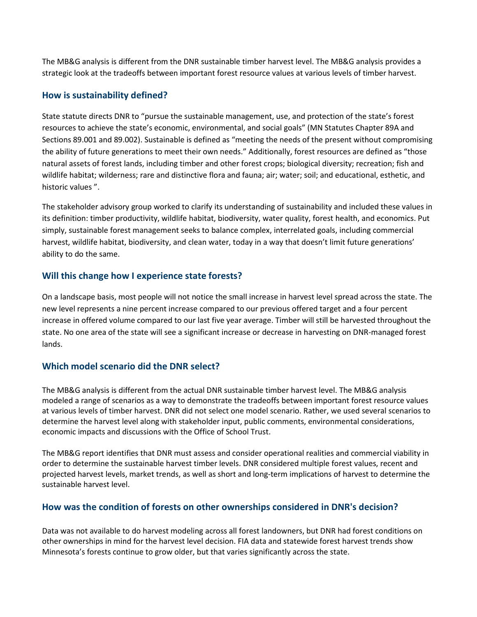The MB&G analysis is different from the DNR sustainable timber harvest level. The MB&G analysis provides a strategic look at the tradeoffs between important forest resource values at various levels of timber harvest.

#### **How is sustainability defined?**

State statute directs DNR to "pursue the sustainable management, use, and protection of the state's forest resources to achieve the state's economic, environmental, and social goals" (MN Statutes Chapter 89A and Sections 89.001 and 89.002). Sustainable is defined as "meeting the needs of the present without compromising the ability of future generations to meet their own needs." Additionally, forest resources are defined as "those natural assets of forest lands, including timber and other forest crops; biological diversity; recreation; fish and wildlife habitat; wilderness; rare and distinctive flora and fauna; air; water; soil; and educational, esthetic, and historic values ".

The stakeholder advisory group worked to clarify its understanding of sustainability and included these values in its definition: timber productivity, wildlife habitat, biodiversity, water quality, forest health, and economics. Put simply, sustainable forest management seeks to balance complex, interrelated goals, including commercial harvest, wildlife habitat, biodiversity, and clean water, today in a way that doesn't limit future generations' ability to do the same.

#### **Will this change how I experience state forests?**

On a landscape basis, most people will not notice the small increase in harvest level spread across the state. The new level represents a nine percent increase compared to our previous offered target and a four percent increase in offered volume compared to our last five year average. Timber will still be harvested throughout the state. No one area of the state will see a significant increase or decrease in harvesting on DNR-managed forest lands.

#### **Which model scenario did the DNR select?**

The MB&G analysis is different from the actual DNR sustainable timber harvest level. The MB&G analysis modeled a range of scenarios as a way to demonstrate the tradeoffs between important forest resource values at various levels of timber harvest. DNR did not select one model scenario. Rather, we used several scenarios to determine the harvest level along with stakeholder input, public comments, environmental considerations, economic impacts and discussions with the Office of School Trust.

The MB&G report identifies that DNR must assess and consider operational realities and commercial viability in order to determine the sustainable harvest timber levels. DNR considered multiple forest values, recent and projected harvest levels, market trends, as well as short and long-term implications of harvest to determine the sustainable harvest level.

#### **How was the condition of forests on other ownerships considered in DNR's decision?**

Data was not available to do harvest modeling across all forest landowners, but DNR had forest conditions on other ownerships in mind for the harvest level decision. FIA data and statewide forest harvest trends show Minnesota's forests continue to grow older, but that varies significantly across the state.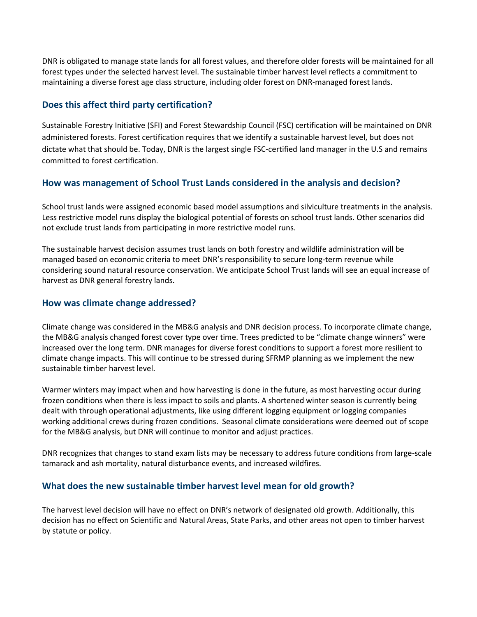DNR is obligated to manage state lands for all forest values, and therefore older forests will be maintained for all forest types under the selected harvest level. The sustainable timber harvest level reflects a commitment to maintaining a diverse forest age class structure, including older forest on DNR-managed forest lands.

#### **Does this affect third party certification?**

Sustainable Forestry Initiative (SFI) and Forest Stewardship Council (FSC) certification will be maintained on DNR administered forests. Forest certification requires that we identify a sustainable harvest level, but does not dictate what that should be. Today, DNR is the largest single FSC-certified land manager in the U.S and remains committed to forest certification.

#### **How was management of School Trust Lands considered in the analysis and decision?**

School trust lands were assigned economic based model assumptions and silviculture treatments in the analysis. Less restrictive model runs display the biological potential of forests on school trust lands. Other scenarios did not exclude trust lands from participating in more restrictive model runs.

The sustainable harvest decision assumes trust lands on both forestry and wildlife administration will be managed based on economic criteria to meet DNR's responsibility to secure long-term revenue while considering sound natural resource conservation. We anticipate School Trust lands will see an equal increase of harvest as DNR general forestry lands.

#### **How was climate change addressed?**

Climate change was considered in the MB&G analysis and DNR decision process. To incorporate climate change, the MB&G analysis changed forest cover type over time. Trees predicted to be "climate change winners" were increased over the long term. DNR manages for diverse forest conditions to support a forest more resilient to climate change impacts. This will continue to be stressed during SFRMP planning as we implement the new sustainable timber harvest level.

Warmer winters may impact when and how harvesting is done in the future, as most harvesting occur during frozen conditions when there is less impact to soils and plants. A shortened winter season is currently being dealt with through operational adjustments, like using different logging equipment or logging companies working additional crews during frozen conditions. Seasonal climate considerations were deemed out of scope for the MB&G analysis, but DNR will continue to monitor and adjust practices.

DNR recognizes that changes to stand exam lists may be necessary to address future conditions from large-scale tamarack and ash mortality, natural disturbance events, and increased wildfires.

#### **What does the new sustainable timber harvest level mean for old growth?**

The harvest level decision will have no effect on DNR's network of designated old growth. Additionally, this decision has no effect on Scientific and Natural Areas, State Parks, and other areas not open to timber harvest by statute or policy.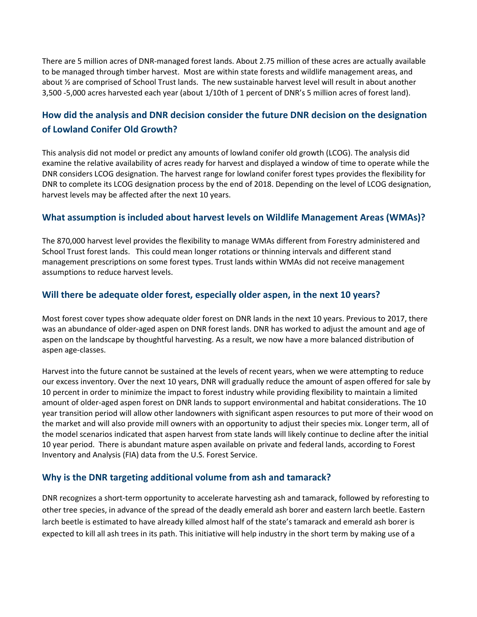There are 5 million acres of DNR-managed forest lands. About 2.75 million of these acres are actually available to be managed through timber harvest. Most are within state forests and wildlife management areas, and about ½ are comprised of School Trust lands. The new sustainable harvest level will result in about another 3,500 -5,000 acres harvested each year (about 1/10th of 1 percent of DNR's 5 million acres of forest land).

### **How did the analysis and DNR decision consider the future DNR decision on the designation of Lowland Conifer Old Growth?**

This analysis did not model or predict any amounts of lowland conifer old growth (LCOG). The analysis did examine the relative availability of acres ready for harvest and displayed a window of time to operate while the DNR considers LCOG designation. The harvest range for lowland conifer forest types provides the flexibility for DNR to complete its LCOG designation process by the end of 2018. Depending on the level of LCOG designation, harvest levels may be affected after the next 10 years.

#### **What assumption is included about harvest levels on Wildlife Management Areas (WMAs)?**

The 870,000 harvest level provides the flexibility to manage WMAs different from Forestry administered and School Trust forest lands. This could mean longer rotations or thinning intervals and different stand management prescriptions on some forest types. Trust lands within WMAs did not receive management assumptions to reduce harvest levels.

#### **Will there be adequate older forest, especially older aspen, in the next 10 years?**

Most forest cover types show adequate older forest on DNR lands in the next 10 years. Previous to 2017, there was an abundance of older-aged aspen on DNR forest lands. DNR has worked to adjust the amount and age of aspen on the landscape by thoughtful harvesting. As a result, we now have a more balanced distribution of aspen age-classes.

Harvest into the future cannot be sustained at the levels of recent years, when we were attempting to reduce our excess inventory. Over the next 10 years, DNR will gradually reduce the amount of aspen offered for sale by 10 percent in order to minimize the impact to forest industry while providing flexibility to maintain a limited amount of older-aged aspen forest on DNR lands to support environmental and habitat considerations. The 10 year transition period will allow other landowners with significant aspen resources to put more of their wood on the market and will also provide mill owners with an opportunity to adjust their species mix. Longer term, all of the model scenarios indicated that aspen harvest from state lands will likely continue to decline after the initial 10 year period. There is abundant mature aspen available on private and federal lands, according to Forest Inventory and Analysis (FIA) data from the U.S. Forest Service.

#### **Why is the DNR targeting additional volume from ash and tamarack?**

DNR recognizes a short-term opportunity to accelerate harvesting ash and tamarack, followed by reforesting to other tree species, in advance of the spread of the deadly emerald ash borer and eastern larch beetle. Eastern larch beetle is estimated to have already killed almost half of the state's tamarack and emerald ash borer is expected to kill all ash trees in its path. This initiative will help industry in the short term by making use of a